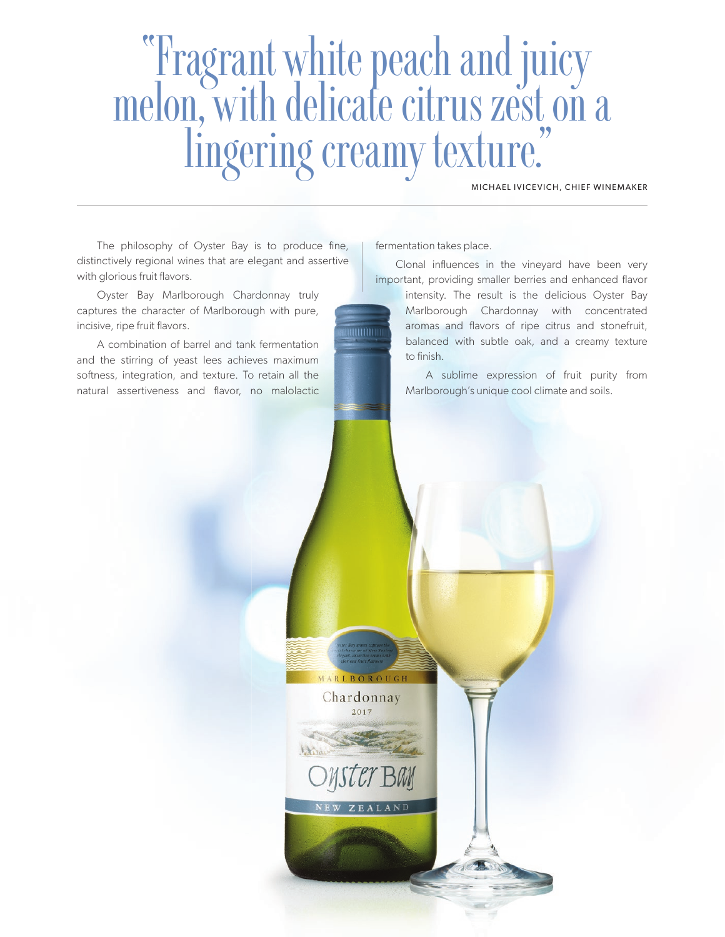# "Fragrant white peach and juicy melon, with delicate citrus zest on a<br>lingering creamy texture."

MICHAEL IVICEVICH, CHIEF WINEMAKER

The philosophy of Oyster Bay is to produce fine, distinctively regional wines that are elegant and assertive with glorious fruit flavors.

Oyster Bay Marlborough Chardonnay truly captures the character of Marlborough with pure, incisive, ripe fruit flavors.

A combination of barrel and tank fermentation and the stirring of yeast lees achieves maximum softness, integration, and texture. To retain all the natural assertiveness and flavor, no malolactic fermentation takes place.

Clonal influences in the vineyard have been very important, providing smaller berries and enhanced flavor

intensity. The result is the delicious Oyster Bay Marlborough Chardonnay with concentrated aromas and flavors of ripe citrus and stonefruit, balanced with subtle oak, and a creamy texture to finish.

A sublime expression of fruit purity from Marlborough's unique cool climate and soils.

MARLBOROUGH Chardonnay 2017